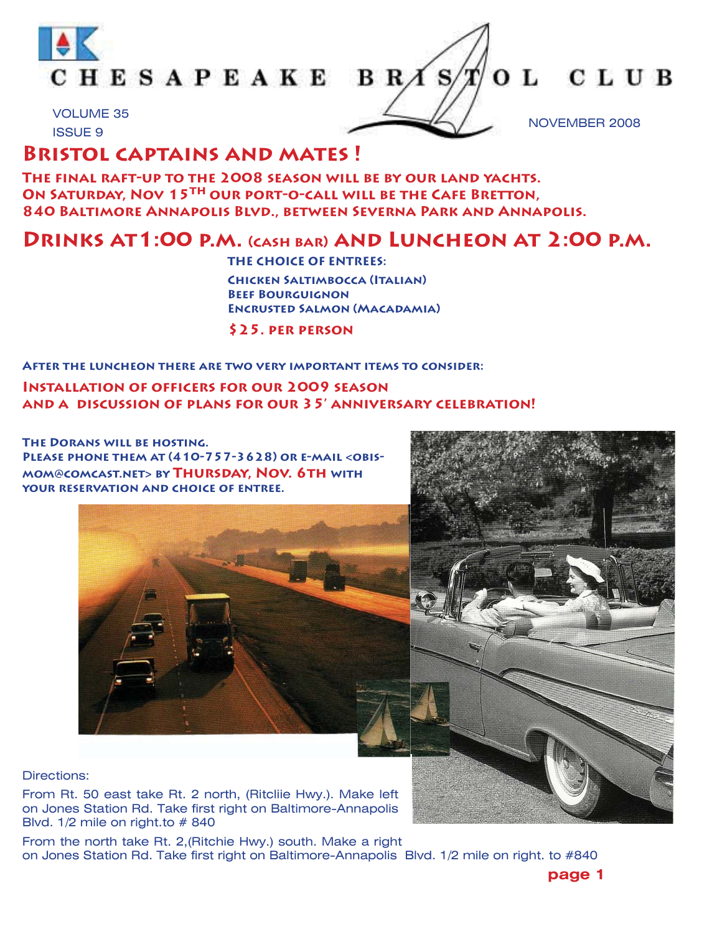

OL CLUB NOVEMBER 2008

## VOLUME 35 ISSUE 9

# **Bristol captains and mates !**

**The final raft-up to the 2008 season will be by our land yachts. ON SATURDAY, NOV 15TH OUR PORT-O-CALL WILL BE THE CAFE BRETTON, 840 Baltimore Annapolis Blvd., between Severna Park and Annapolis.** 

# **Drinks at1:00 p.m. (cash bar) and Luncheon at 2:00 p.m.**

 **THE CHOICE OF ENTREES: Chicken Saltimbocca (Italian) Beef Bourguignon Encrusted Salmon (Macadamia) \$25. per person** 

## **After the luncheon there are two very important items to consider:**

## **Installation of officers for our 2009 season and a discussion of plans for our 35' anniversary celebration!**

**The Dorans will be hosting. Please phone them at (410-757-3628) or e-mail <obismom@comcast.net> by Thursday, Nov. 6th with your reservation and choice of entree.**





### Directions:

From Rt. 50 east take Rt. 2 north, (Ritcliie Hwy.). Make left on Jones Station Rd. Take first right on Baltimore-Annapolis Blvd. 1/2 mile on right.to # 840

From the north take Rt. 2,(Ritchie Hwy.) south. Make a right on Jones Station Rd. Take first right on Baltimore-Annapolis Blvd. 1/2 mile on right. to #840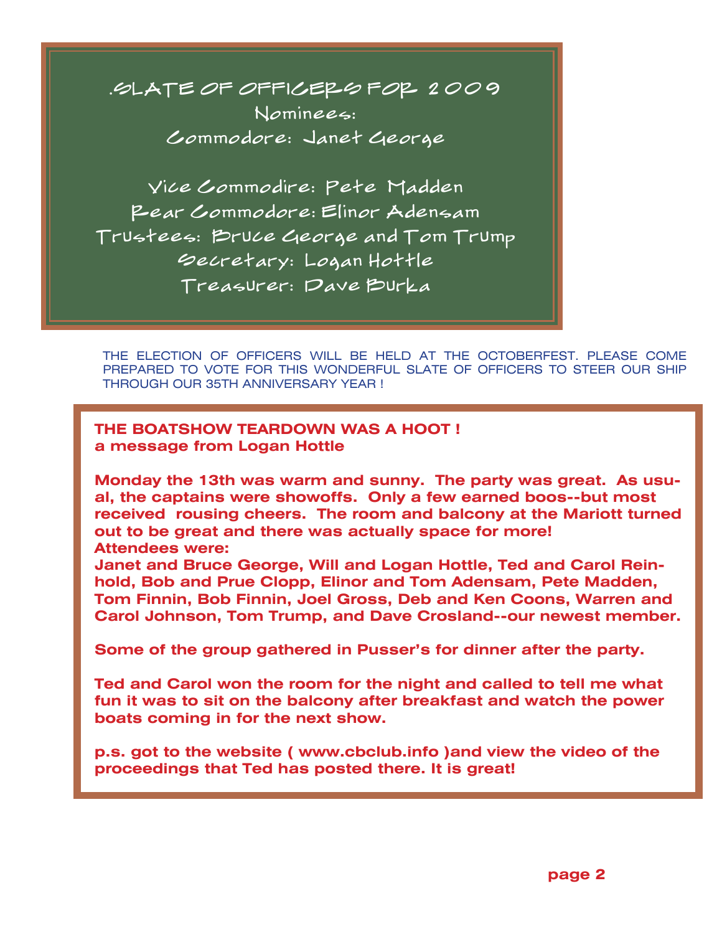.SLATE OF OFFICERS FOR 2009 Nominees: Commodore: Janet George

Vice Commodire: Pete Madden Rear Commodore: Elinor Adensam Trustees: Bruce George and Tom Trump Secretary: Logan Hottle Treasurer: Dave Burka

THE ELECTION OF OFFICERS WILL BE HELD AT THE OCTOBERFEST. PLEASE COME PREPARED TO VOTE FOR THIS WONDERFUL SLATE OF OFFICERS TO STEER OUR SHIP THROUGH OUR 35TH ANNIVERSARY YEAR !

**THE BOATSHOW TEARDOWN WAS A HOOT ! a message from Logan Hottle**

**Monday the 13th was warm and sunny. The party was great. As usual, the captains were showoffs. Only a few earned boos--but most received rousing cheers. The room and balcony at the Mariott turned out to be great and there was actually space for more! Attendees were:**

**Janet and Bruce George, Will and Logan Hottle, Ted and Carol Reinhold, Bob and Prue Clopp, Elinor and Tom Adensam, Pete Madden, Tom Finnin, Bob Finnin, Joel Gross, Deb and Ken Coons, Warren and Carol Johnson, Tom Trump, and Dave Crosland--our newest member.**

**Some of the group gathered in Pusser's for dinner after the party.**

**Ted and Carol won the room for the night and called to tell me what fun it was to sit on the balcony after breakfast and watch the power boats coming in for the next show.**

**p.s. got to the website ( www.cbclub.info )and view the video of the proceedings that Ted has posted there. It is great!**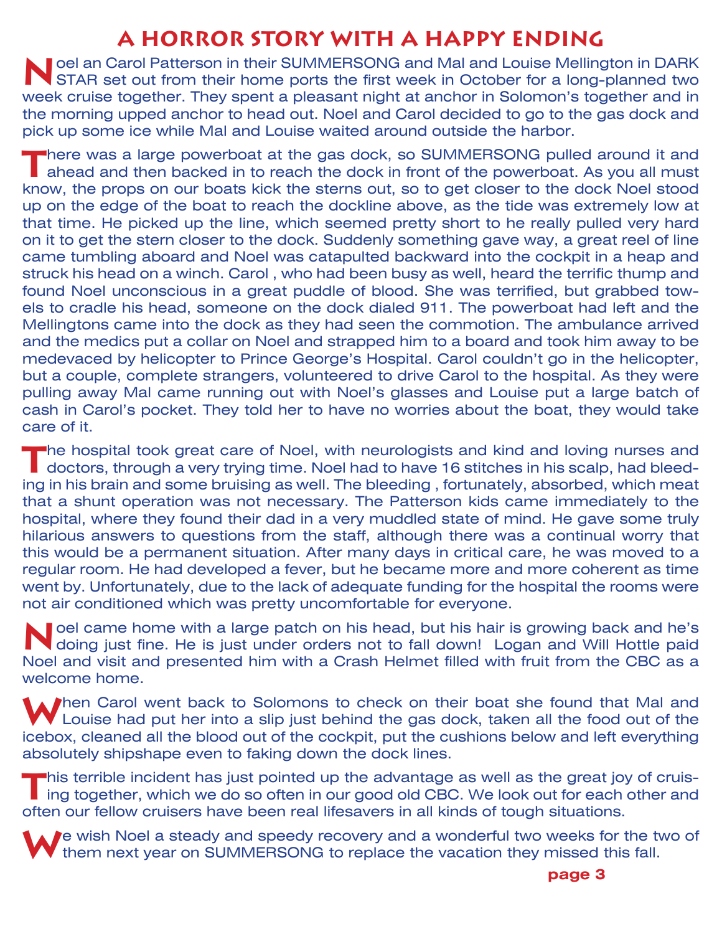# **A HORROR STORY WITH A HAPPY ENDING**

**Noel an Carol Patterson in their SUMMERSONG and Mal and Louise Mellington in DARK STAR set out from their home ports the first week in October for a long-planned two** week cruise together. They spent a pleasant night at anchor in Solomon's together and in the morning upped anchor to head out. Noel and Carol decided to go to the gas dock and pick up some ice while Mal and Louise waited around outside the harbor.

**T**here was a large powerboat at the gas dock, so SUMMERSONG pulled around it and ahead and then backed in to reach the dock in front of the powerboat. As you all must know, the props on our boats kick the sterns out, so to get closer to the dock Noel stood up on the edge of the boat to reach the dockline above, as the tide was extremely low at that time. He picked up the line, which seemed pretty short to he really pulled very hard on it to get the stern closer to the dock. Suddenly something gave way, a great reel of line came tumbling aboard and Noel was catapulted backward into the cockpit in a heap and struck his head on a winch. Carol , who had been busy as well, heard the terrific thump and found Noel unconscious in a great puddle of blood. She was terrified, but grabbed towels to cradle his head, someone on the dock dialed 911. The powerboat had left and the Mellingtons came into the dock as they had seen the commotion. The ambulance arrived and the medics put a collar on Noel and strapped him to a board and took him away to be medevaced by helicopter to Prince George's Hospital. Carol couldn't go in the helicopter, but a couple, complete strangers, volunteered to drive Carol to the hospital. As they were pulling away Mal came running out with Noel's glasses and Louise put a large batch of cash in Carol's pocket. They told her to have no worries about the boat, they would take care of it.

**T**he hospital took great care of Noel, with neurologists and kind and loving nurses and **doctors, through a very trying time. Noel had to have 16 stitches in his scalp, had bleed**ing in his brain and some bruising as well. The bleeding , fortunately, absorbed, which meat that a shunt operation was not necessary. The Patterson kids came immediately to the hospital, where they found their dad in a very muddled state of mind. He gave some truly hilarious answers to questions from the staff, although there was a continual worry that this would be a permanent situation. After many days in critical care, he was moved to a regular room. He had developed a fever, but he became more and more coherent as time went by. Unfortunately, due to the lack of adequate funding for the hospital the rooms were not air conditioned which was pretty uncomfortable for everyone.

**Noel came home with a large patch on his head, but his hair is growing back and he's doing just fine. He is just under orders not to fall down! Logan and Will Hottle paid** Noel and visit and presented him with a Crash Helmet filled with fruit from the CBC as a welcome home.

**When Carol went back to Solomons to check on their boat she found that Mal and** If Louise had put her into a slip just behind the gas dock, taken all the food out of the icebox, cleaned all the blood out of the cockpit, put the cushions below and left everything absolutely shipshape even to faking down the dock lines.

**T**his terrible incident has just pointed up the advantage as well as the great joy of cruis-I ing together, which we do so often in our good old CBC. We look out for each other and often our fellow cruisers have been real lifesavers in all kinds of tough situations.

**P**e wish Noel a steady and speedy recovery and a wonderful two weeks for the two of them next year on SUMMERSONG to replace the vacation they missed this fall.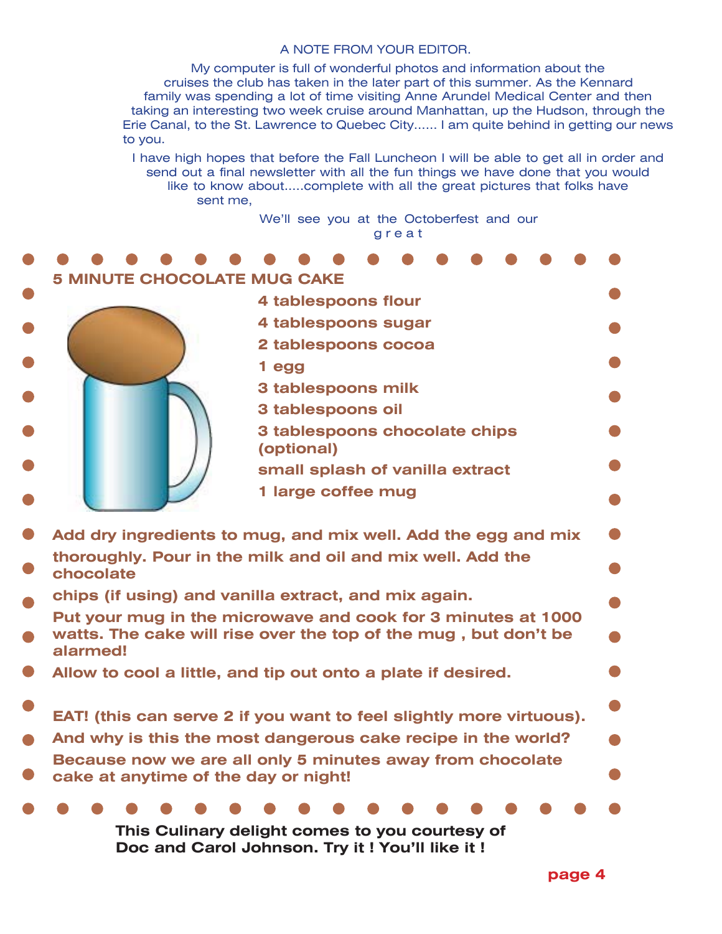#### A NOTE FROM YOUR EDITOR.

My computer is full of wonderful photos and information about the cruises the club has taken in the later part of this summer. As the Kennard family was spending a lot of time visiting Anne Arundel Medical Center and then taking an interesting two week cruise around Manhattan, up the Hudson, through the Erie Canal, to the St. Lawrence to Quebec City...... I am quite behind in getting our news to you.

I have high hopes that before the Fall Luncheon I will be able to get all in order and send out a final newsletter with all the fun things we have done that you would like to know about.....complete with all the great pictures that folks have sent me,

> We'll see you at the Octoberfest and our g r e a t

| <b>MINUTE CHOCOLATE MUG CAKE</b>                                                                                                |                                             |
|---------------------------------------------------------------------------------------------------------------------------------|---------------------------------------------|
|                                                                                                                                 | 4 tablespoons flour                         |
|                                                                                                                                 | 4 tablespoons sugar                         |
|                                                                                                                                 | 2 tablespoons cocoa                         |
|                                                                                                                                 | 1 egg                                       |
|                                                                                                                                 | 3 tablespoons milk                          |
|                                                                                                                                 | 3 tablespoons oil                           |
|                                                                                                                                 | 3 tablespoons chocolate chips<br>(optional) |
|                                                                                                                                 | small splash of vanilla extract             |
|                                                                                                                                 | 1 large coffee mug                          |
|                                                                                                                                 |                                             |
| $\bullet$<br>Add dry ingredients to mug, and mix well. Add the egg and mix                                                      |                                             |
| thoroughly. Pour in the milk and oil and mix well. Add the<br>$\bullet$<br>chocolate                                            |                                             |
| chips (if using) and vanilla extract, and mix again.                                                                            |                                             |
| Put your mug in the microwave and cook for 3 minutes at 1000<br>watts. The cake will rise over the top of the mug, but don't be |                                             |
| alarmed!                                                                                                                        |                                             |
| Allow to cool a little, and tip out onto a plate if desired.                                                                    |                                             |
|                                                                                                                                 |                                             |
| $\bullet$<br>EAT! (this can serve 2 if you want to feel slightly more virtuous).                                                |                                             |
| And why is this the most dangerous cake recipe in the world?<br>$\bullet$                                                       |                                             |
| Because now we are all only 5 minutes away from chocolate                                                                       |                                             |
| cake at anytime of the day or night!<br>$\bullet$                                                                               |                                             |
|                                                                                                                                 |                                             |
| This Culinary delight comes to you courtesy of                                                                                  |                                             |
| Doc and Carol Johnson. Try it ! You'll like it !                                                                                |                                             |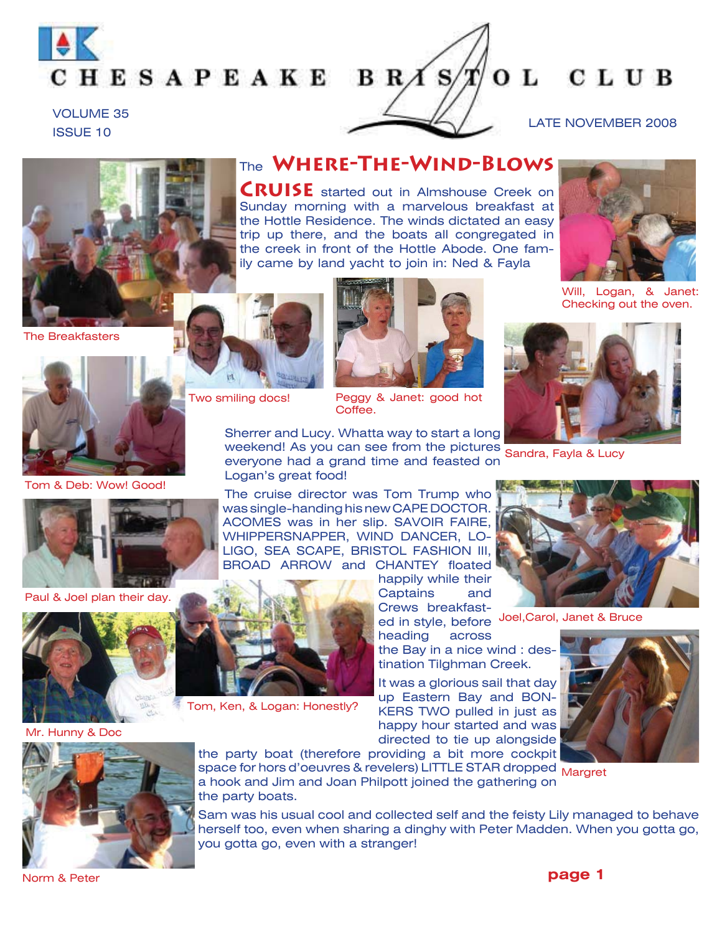

OL CLUB LATE NOVEMBER 2008



The Breakfasters

VOLUME 35 ISSUE 10

om & Deb: Wow! Good!

Paul & Joel plan their day.

Two smiling docs!



The **Where-The-Wind-Blows** 

**CRUISE** started out in Almshouse Creek on Sunday morning with a marvelous breakfast at the Hottle Residence. The winds dictated an easy trip up there, and the boats all congregated in the creek in front of the Hottle Abode. One family came by land yacht to join in: Ned & Fayla

Peggy & Janet: good hot Coffee.

Will, Logan, & Janet: Checking out the oven.

weekend! As you can see from the pictures Sandra, Fayla & Lucy Sherrer and Lucy. Whatta way to start a long everyone had a grand time and feasted on Logan's great food!

The cruise director was Tom Trump who was single-handing his new CAPE DOCTOR. ACOMES was in her slip. SAVOIR FAIRE, WHIPPERSNAPPER, WIND DANCER, LO-LIGO, SEA SCAPE, BRISTOL FASHION III, BROAD ARROW and CHANTEY floated

happily while their Captains and Crews breakfast-

heading across the Bay in a nice wind : destination Tilghman Creek.

It was a glorious sail that day up Eastern Bay and BON-KERS TWO pulled in just as happy hour started and was directed to tie up alongside



ed in style, before <sup>Joel,Carol, Janet & Bruce</sup>





Hunny & Doc

space for hors d'oeuvres & revelers) LITTLE STAR dropped <sub>Margret</sub> the party boat (therefore providing a bit more cockpit a hook and Jim and Joan Philpott joined the gathering on the party boats.

Sam was his usual cool and collected self and the feisty Lily managed to behave herself too, even when sharing a dinghy with Peter Madden. When you gotta go, you gotta go, even with a stranger!



Tom, Ken, & Logan: Honestly?



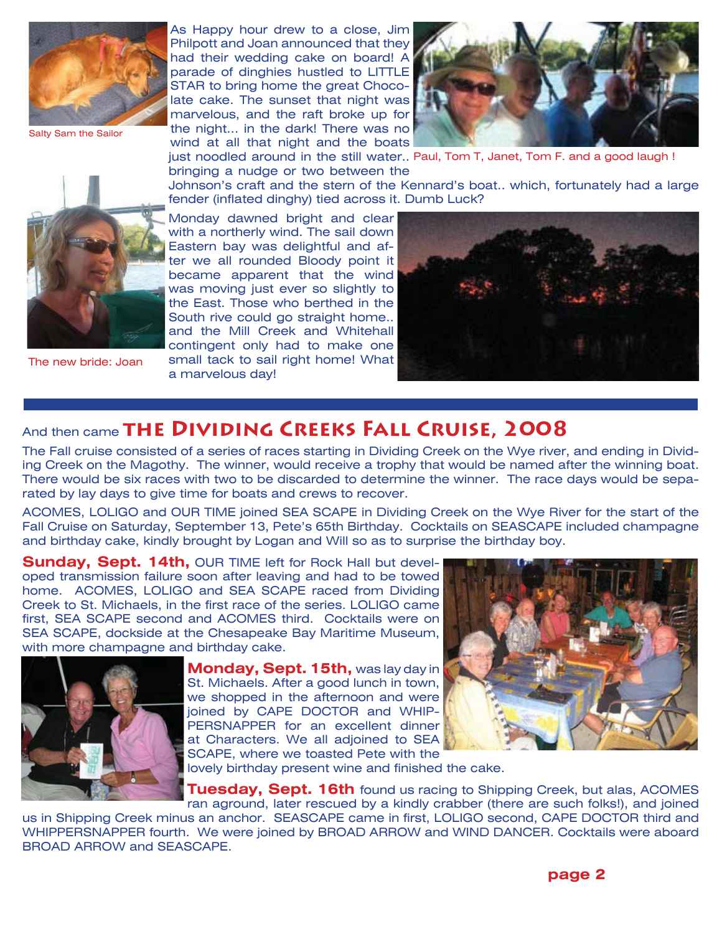

Salty Sam the Sailor

As Happy hour drew to a close, Jim Philpott and Joan announced that they had their wedding cake on board! A parade of dinghies hustled to LITTLE STAR to bring home the great Chocolate cake. The sunset that night was marvelous, and the raft broke up for the night... in the dark! There was no wind at all that night and the boats



just noodled around in the still water.. Paul, Tom T, Janet, Tom F. and a good laugh ! bringing a nudge or two between the

The new bride: Joan

Johnson's craft and the stern of the Kennard's boat.. which, fortunately had a large fender (inflated dinghy) tied across it. Dumb Luck?

Monday dawned bright and clear with a northerly wind. The sail down Eastern bay was delightful and after we all rounded Bloody point it became apparent that the wind was moving just ever so slightly to the East. Those who berthed in the South rive could go straight home.. and the Mill Creek and Whitehall contingent only had to make one small tack to sail right home! What a marvelous day!



# And then came THE DIVIDING CREEKS FALL CRUISE, 2008

The Fall cruise consisted of a series of races starting in Dividing Creek on the Wye river, and ending in Dividing Creek on the Magothy. The winner, would receive a trophy that would be named after the winning boat. There would be six races with two to be discarded to determine the winner. The race days would be separated by lay days to give time for boats and crews to recover.

ACOMES, LOLIGO and OUR TIME joined SEA SCAPE in Dividing Creek on the Wye River for the start of the Fall Cruise on Saturday, September 13, Pete's 65th Birthday. Cocktails on SEASCAPE included champagne and birthday cake, kindly brought by Logan and Will so as to surprise the birthday boy.

**Sunday, Sept. 14th,** OUR TIME left for Rock Hall but developed transmission failure soon after leaving and had to be towed home. ACOMES, LOLIGO and SEA SCAPE raced from Dividing Creek to St. Michaels, in the first race of the series. LOLIGO came first, SEA SCAPE second and ACOMES third. Cocktails were on SEA SCAPE, dockside at the Chesapeake Bay Maritime Museum, with more champagne and birthday cake.



**Monday, Sept. 15th,** was lay day in St. Michaels. After a good lunch in town, we shopped in the afternoon and were joined by CAPE DOCTOR and WHIP-PERSNAPPER for an excellent dinner at Characters. We all adjoined to SEA SCAPE, where we toasted Pete with the



lovely birthday present wine and finished the cake.

**Tuesday, Sept. 16th** found us racing to Shipping Creek, but alas, ACOMES ran aground, later rescued by a kindly crabber (there are such folks!), and joined

us in Shipping Creek minus an anchor. SEASCAPE came in first, LOLIGO second, CAPE DOCTOR third and WHIPPERSNAPPER fourth. We were joined by BROAD ARROW and WIND DANCER. Cocktails were aboard BROAD ARROW and SEASCAPE.

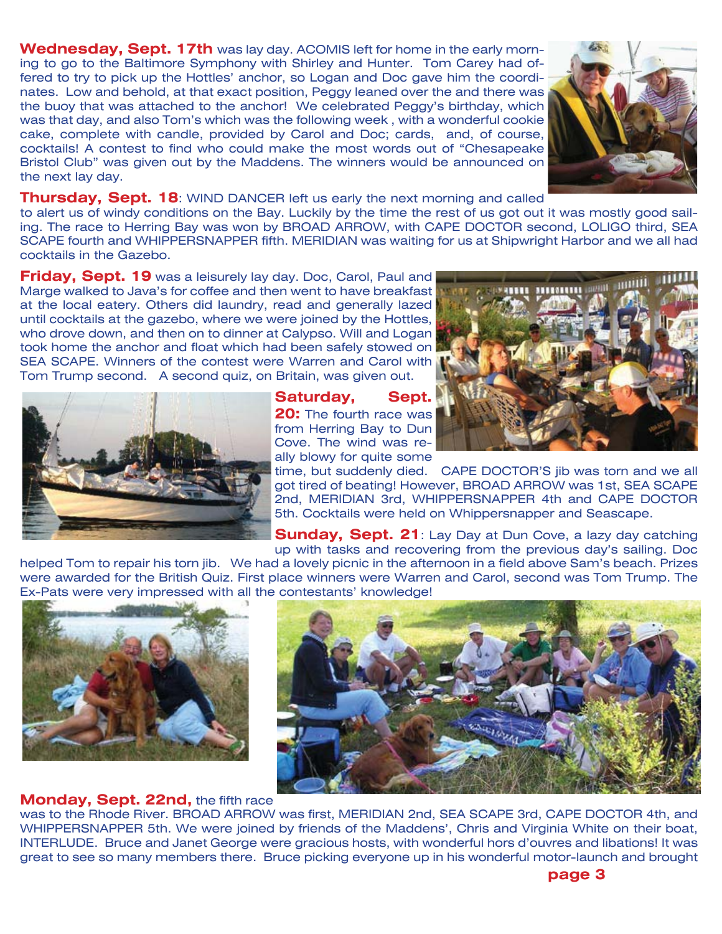**Wednesday, Sept. 17th** was lay day. ACOMIS left for home in the early morning to go to the Baltimore Symphony with Shirley and Hunter. Tom Carey had offered to try to pick up the Hottles' anchor, so Logan and Doc gave him the coordinates. Low and behold, at that exact position, Peggy leaned over the and there was the buoy that was attached to the anchor! We celebrated Peggy's birthday, which was that day, and also Tom's which was the following week , with a wonderful cookie cake, complete with candle, provided by Carol and Doc; cards, and, of course, cocktails! A contest to find who could make the most words out of "Chesapeake Bristol Club" was given out by the Maddens. The winners would be announced on the next lay day.



#### **Thursday, Sept. 18:** WIND DANCER left us early the next morning and called

to alert us of windy conditions on the Bay. Luckily by the time the rest of us got out it was mostly good sailing. The race to Herring Bay was won by BROAD ARROW, with CAPE DOCTOR second, LOLIGO third, SEA SCAPE fourth and WHIPPERSNAPPER fifth. MERIDIAN was waiting for us at Shipwright Harbor and we all had cocktails in the Gazebo.

**Friday, Sept. 19** was a leisurely lay day. Doc, Carol, Paul and Marge walked to Java's for coffee and then went to have breakfast at the local eatery. Others did laundry, read and generally lazed until cocktails at the gazebo, where we were joined by the Hottles, who drove down, and then on to dinner at Calypso. Will and Logan took home the anchor and float which had been safely stowed on SEA SCAPE. Winners of the contest were Warren and Carol with Tom Trump second. A second quiz, on Britain, was given out.



#### **Saturday, Sept. 20:** The fourth race was from Herring Bay to Dun Cove. The wind was really blowy for quite some

**ABRESSEREE INSURED** 

time, but suddenly died. CAPE DOCTOR'S jib was torn and we all got tired of beating! However, BROAD ARROW was 1st, SEA SCAPE 2nd, MERIDIAN 3rd, WHIPPERSNAPPER 4th and CAPE DOCTOR 5th. Cocktails were held on Whippersnapper and Seascape.

**Sunday, Sept. 21**: Lay Day at Dun Cove, a lazy day catching up with tasks and recovering from the previous day's sailing. Doc

helped Tom to repair his torn jib. We had a lovely picnic in the afternoon in a field above Sam's beach. Prizes were awarded for the British Quiz. First place winners were Warren and Carol, second was Tom Trump. The Ex-Pats were very impressed with all the contestants' knowledge!



#### **Monday, Sept. 22nd,** the fifth race



was to the Rhode River. BROAD ARROW was first, MERIDIAN 2nd, SEA SCAPE 3rd, CAPE DOCTOR 4th, and WHIPPERSNAPPER 5th. We were joined by friends of the Maddens', Chris and Virginia White on their boat, INTERLUDE. Bruce and Janet George were gracious hosts, with wonderful hors d'ouvres and libations! It was great to see so many members there. Bruce picking everyone up in his wonderful motor-launch and brought

**page 3**